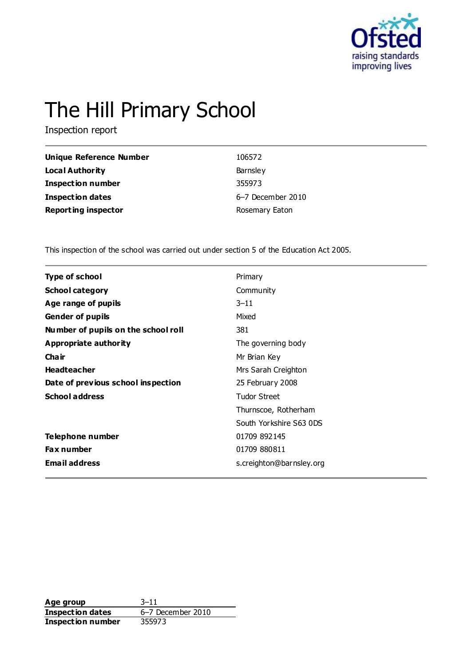

# The Hill Primary School

Inspection report

| Unique Reference Number    | 106572            |
|----------------------------|-------------------|
| Local Authority            | Barnsley          |
| <b>Inspection number</b>   | 355973            |
| Inspection dates           | 6-7 December 2010 |
| <b>Reporting inspector</b> | Rosemary Eaton    |

This inspection of the school was carried out under section 5 of the Education Act 2005.

| <b>Type of school</b>               | Primary                  |  |
|-------------------------------------|--------------------------|--|
| <b>School category</b>              | Community                |  |
| Age range of pupils                 | $3 - 11$                 |  |
| <b>Gender of pupils</b>             | Mixed                    |  |
| Number of pupils on the school roll | 381                      |  |
| Appropriate authority               | The governing body       |  |
| Cha ir                              | Mr Brian Key             |  |
| <b>Headteacher</b>                  | Mrs Sarah Creighton      |  |
| Date of previous school inspection  | 25 February 2008         |  |
| <b>School address</b>               | <b>Tudor Street</b>      |  |
|                                     | Thurnscoe, Rotherham     |  |
|                                     | South Yorkshire S63 0DS  |  |
| Telephone number                    | 01709 892145             |  |
| <b>Fax number</b>                   | 01709 880811             |  |
| <b>Email address</b>                | s.creighton@barnsley.org |  |
|                                     |                          |  |

**Age group** 3–11 **Inspection dates** 6–7 December 2010 **Inspection number** 355973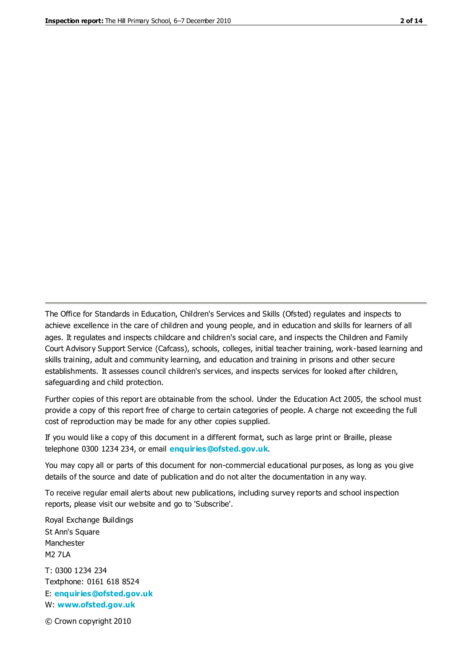The Office for Standards in Education, Children's Services and Skills (Ofsted) regulates and inspects to achieve excellence in the care of children and young people, and in education and skills for learners of all ages. It regulates and inspects childcare and children's social care, and inspects the Children and Family Court Advisory Support Service (Cafcass), schools, colleges, initial teacher training, work-based learning and skills training, adult and community learning, and education and training in prisons and other secure establishments. It assesses council children's services, and inspects services for looked after children, safeguarding and child protection.

Further copies of this report are obtainable from the school. Under the Education Act 2005, the school must provide a copy of this report free of charge to certain categories of people. A charge not exceeding the full cost of reproduction may be made for any other copies supplied.

If you would like a copy of this document in a different format, such as large print or Braille, please telephone 0300 1234 234, or email **[enquiries@ofsted.gov.uk](mailto:enquiries@ofsted.gov.uk)**.

You may copy all or parts of this document for non-commercial educational purposes, as long as you give details of the source and date of publication and do not alter the documentation in any way.

To receive regular email alerts about new publications, including survey reports and school inspection reports, please visit our website and go to 'Subscribe'.

Royal Exchange Buildings St Ann's Square Manchester M2 7LA T: 0300 1234 234 Textphone: 0161 618 8524 E: **[enquiries@ofsted.gov.uk](mailto:enquiries@ofsted.gov.uk)**

W: **[www.ofsted.gov.uk](http://www.ofsted.gov.uk/)**

© Crown copyright 2010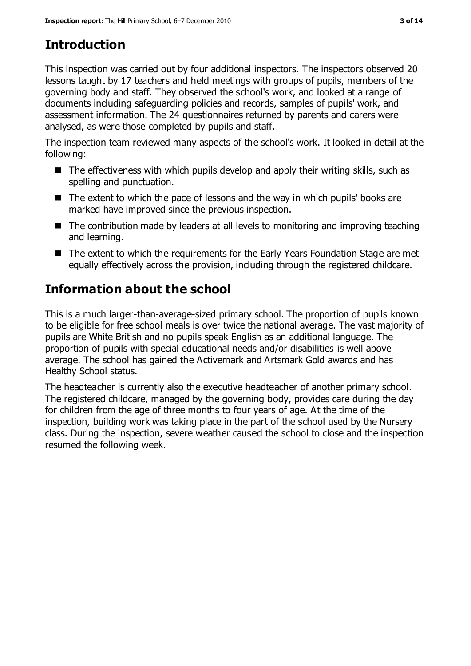# **Introduction**

This inspection was carried out by four additional inspectors. The inspectors observed 20 lessons taught by 17 teachers and held meetings with groups of pupils, members of the governing body and staff. They observed the school's work, and looked at a range of documents including safeguarding policies and records, samples of pupils' work, and assessment information. The 24 questionnaires returned by parents and carers were analysed, as were those completed by pupils and staff.

The inspection team reviewed many aspects of the school's work. It looked in detail at the following:

- $\blacksquare$  The effectiveness with which pupils develop and apply their writing skills, such as spelling and punctuation.
- The extent to which the pace of lessons and the way in which pupils' books are marked have improved since the previous inspection.
- The contribution made by leaders at all levels to monitoring and improving teaching and learning.
- The extent to which the requirements for the Early Years Foundation Stage are met equally effectively across the provision, including through the registered childcare.

# **Information about the school**

This is a much larger-than-average-sized primary school. The proportion of pupils known to be eligible for free school meals is over twice the national average. The vast majority of pupils are White British and no pupils speak English as an additional language. The proportion of pupils with special educational needs and/or disabilities is well above average. The school has gained the Activemark and Artsmark Gold awards and has Healthy School status.

The headteacher is currently also the executive headteacher of another primary school. The registered childcare, managed by the governing body, provides care during the day for children from the age of three months to four years of age. At the time of the inspection, building work was taking place in the part of the school used by the Nursery class. During the inspection, severe weather caused the school to close and the inspection resumed the following week.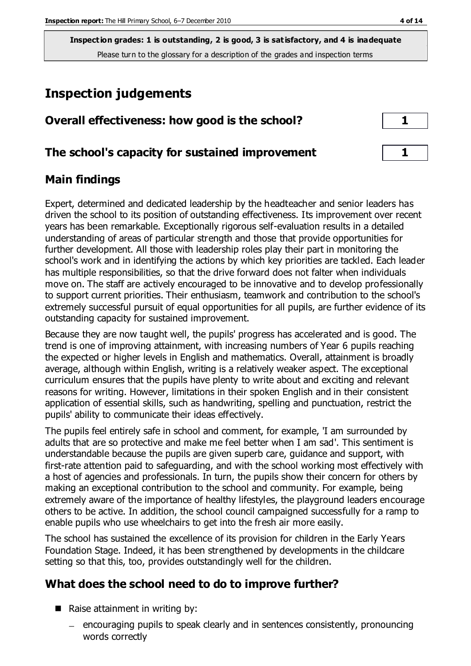# **Inspection judgements**

| Overall effectiveness: how good is the school?  |  |
|-------------------------------------------------|--|
| The school's capacity for sustained improvement |  |
|                                                 |  |

# **Main findings**

Expert, determined and dedicated leadership by the headteacher and senior leaders has driven the school to its position of outstanding effectiveness. Its improvement over recent years has been remarkable. Exceptionally rigorous self-evaluation results in a detailed understanding of areas of particular strength and those that provide opportunities for further development. All those with leadership roles play their part in monitoring the school's work and in identifying the actions by which key priorities are tackled. Each leader has multiple responsibilities, so that the drive forward does not falter when individuals move on. The staff are actively encouraged to be innovative and to develop professionally to support current priorities. Their enthusiasm, teamwork and contribution to the school's extremely successful pursuit of equal opportunities for all pupils, are further evidence of its outstanding capacity for sustained improvement.

Because they are now taught well, the pupils' progress has accelerated and is good. The trend is one of improving attainment, with increasing numbers of Year 6 pupils reaching the expected or higher levels in English and mathematics. Overall, attainment is broadly average, although within English, writing is a relatively weaker aspect. The exceptional curriculum ensures that the pupils have plenty to write about and exciting and relevant reasons for writing. However, limitations in their spoken English and in their consistent application of essential skills, such as handwriting, spelling and punctuation, restrict the pupils' ability to communicate their ideas effectively.

The pupils feel entirely safe in school and comment, for example, 'I am surrounded by adults that are so protective and make me feel better when I am sad'. This sentiment is understandable because the pupils are given superb care, guidance and support, with first-rate attention paid to safeguarding, and with the school working most effectively with a host of agencies and professionals. In turn, the pupils show their concern for others by making an exceptional contribution to the school and community. For example, being extremely aware of the importance of healthy lifestyles, the playground leaders encourage others to be active. In addition, the school council campaigned successfully for a ramp to enable pupils who use wheelchairs to get into the fresh air more easily.

The school has sustained the excellence of its provision for children in the Early Years Foundation Stage. Indeed, it has been strengthened by developments in the childcare setting so that this, too, provides outstandingly well for the children.

### **What does the school need to do to improve further?**

- $\blacksquare$  Raise attainment in writing by:
	- encouraging pupils to speak clearly and in sentences consistently, pronouncing words correctly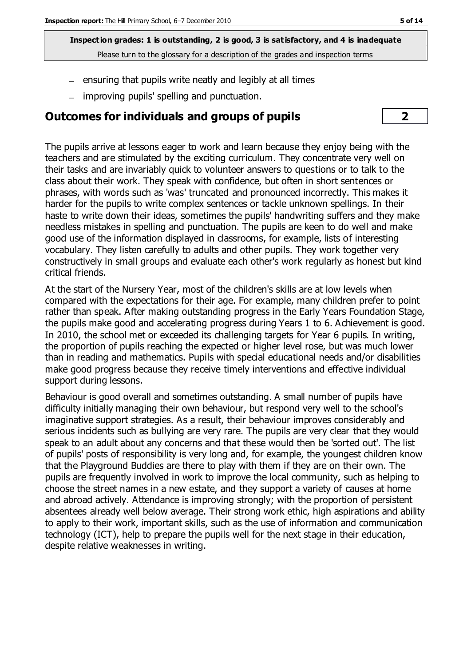- $\mu$  ensuring that pupils write neatly and legibly at all times
- improving pupils' spelling and punctuation.

### **Outcomes for individuals and groups of pupils 2**



The pupils arrive at lessons eager to work and learn because they enjoy being with the teachers and are stimulated by the exciting curriculum. They concentrate very well on their tasks and are invariably quick to volunteer answers to questions or to talk to the class about their work. They speak with confidence, but often in short sentences or phrases, with words such as 'was' truncated and pronounced incorrectly. This makes it harder for the pupils to write complex sentences or tackle unknown spellings. In their haste to write down their ideas, sometimes the pupils' handwriting suffers and they make needless mistakes in spelling and punctuation. The pupils are keen to do well and make good use of the information displayed in classrooms, for example, lists of interesting vocabulary. They listen carefully to adults and other pupils. They work together very constructively in small groups and evaluate each other's work regularly as honest but kind critical friends.

At the start of the Nursery Year, most of the children's skills are at low levels when compared with the expectations for their age. For example, many children prefer to point rather than speak. After making outstanding progress in the Early Years Foundation Stage, the pupils make good and accelerating progress during Years 1 to 6. Achievement is good. In 2010, the school met or exceeded its challenging targets for Year 6 pupils. In writing, the proportion of pupils reaching the expected or higher level rose, but was much lower than in reading and mathematics. Pupils with special educational needs and/or disabilities make good progress because they receive timely interventions and effective individual support during lessons.

Behaviour is good overall and sometimes outstanding. A small number of pupils have difficulty initially managing their own behaviour, but respond very well to the school's imaginative support strategies. As a result, their behaviour improves considerably and serious incidents such as bullying are very rare. The pupils are very clear that they would speak to an adult about any concerns and that these would then be 'sorted out'. The list of pupils' posts of responsibility is very long and, for example, the youngest children know that the Playground Buddies are there to play with them if they are on their own. The pupils are frequently involved in work to improve the local community, such as helping to choose the street names in a new estate, and they support a variety of causes at home and abroad actively. Attendance is improving strongly; with the proportion of persistent absentees already well below average. Their strong work ethic, high aspirations and ability to apply to their work, important skills, such as the use of information and communication technology (ICT), help to prepare the pupils well for the next stage in their education, despite relative weaknesses in writing.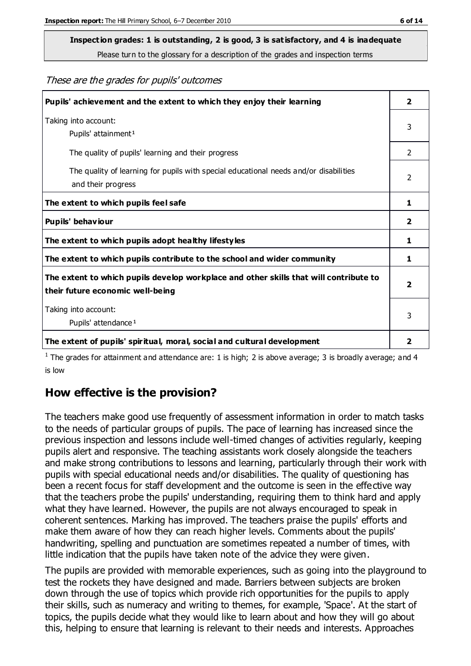These are the grades for pupils' outcomes

| Pupils' achievement and the extent to which they enjoy their learning                                                     | $\overline{2}$ |
|---------------------------------------------------------------------------------------------------------------------------|----------------|
| Taking into account:<br>Pupils' attainment <sup>1</sup>                                                                   | 3              |
| The quality of pupils' learning and their progress                                                                        | 2              |
| The quality of learning for pupils with special educational needs and/or disabilities<br>and their progress               | $\mathcal{P}$  |
| The extent to which pupils feel safe                                                                                      | 1              |
| Pupils' behaviour                                                                                                         | 2              |
| The extent to which pupils adopt healthy lifestyles                                                                       | 1              |
| The extent to which pupils contribute to the school and wider community                                                   | 1              |
| The extent to which pupils develop workplace and other skills that will contribute to<br>their future economic well-being |                |
| Taking into account:<br>Pupils' attendance <sup>1</sup>                                                                   | 3              |
| The extent of pupils' spiritual, moral, social and cultural development                                                   | 2              |

<sup>1</sup> The grades for attainment and attendance are: 1 is high; 2 is above average; 3 is broadly average; and 4 is low

# **How effective is the provision?**

The teachers make good use frequently of assessment information in order to match tasks to the needs of particular groups of pupils. The pace of learning has increased since the previous inspection and lessons include well-timed changes of activities regularly, keeping pupils alert and responsive. The teaching assistants work closely alongside the teachers and make strong contributions to lessons and learning, particularly through their work with pupils with special educational needs and/or disabilities. The quality of questioning has been a recent focus for staff development and the outcome is seen in the effective way that the teachers probe the pupils' understanding, requiring them to think hard and apply what they have learned. However, the pupils are not always encouraged to speak in coherent sentences. Marking has improved. The teachers praise the pupils' efforts and make them aware of how they can reach higher levels. Comments about the pupils' handwriting, spelling and punctuation are sometimes repeated a number of times, with little indication that the pupils have taken note of the advice they were given.

The pupils are provided with memorable experiences, such as going into the playground to test the rockets they have designed and made. Barriers between subjects are broken down through the use of topics which provide rich opportunities for the pupils to apply their skills, such as numeracy and writing to themes, for example, 'Space'. At the start of topics, the pupils decide what they would like to learn about and how they will go about this, helping to ensure that learning is relevant to their needs and interests. Approaches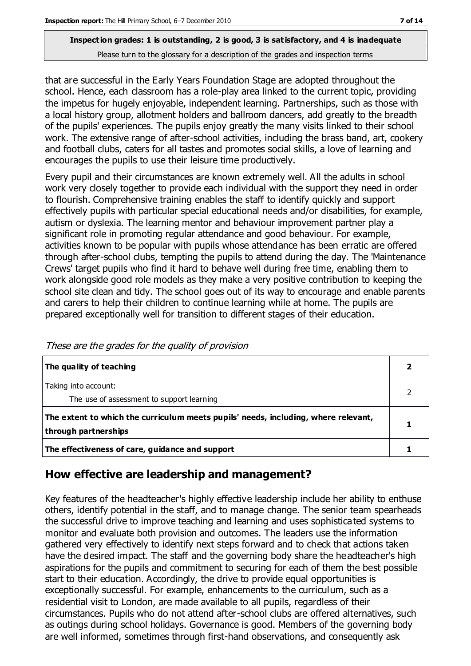that are successful in the Early Years Foundation Stage are adopted throughout the school. Hence, each classroom has a role-play area linked to the current topic, providing the impetus for hugely enjoyable, independent learning. Partnerships, such as those with a local history group, allotment holders and ballroom dancers, add greatly to the breadth of the pupils' experiences. The pupils enjoy greatly the many visits linked to their school work. The extensive range of after-school activities, including the brass band, art, cookery and football clubs, caters for all tastes and promotes social skills, a love of learning and encourages the pupils to use their leisure time productively.

Every pupil and their circumstances are known extremely well. All the adults in school work very closely together to provide each individual with the support they need in order to flourish. Comprehensive training enables the staff to identify quickly and support effectively pupils with particular special educational needs and/or disabilities, for example, autism or dyslexia. The learning mentor and behaviour improvement partner play a significant role in promoting regular attendance and good behaviour. For example, activities known to be popular with pupils whose attendance has been erratic are offered through after-school clubs, tempting the pupils to attend during the day. The 'Maintenance Crews' target pupils who find it hard to behave well during free time, enabling them to work alongside good role models as they make a very positive contribution to keeping the school site clean and tidy. The school goes out of its way to encourage and enable parents and carers to help their children to continue learning while at home. The pupils are prepared exceptionally well for transition to different stages of their education.

| The quality of teaching                                                                                    |  |
|------------------------------------------------------------------------------------------------------------|--|
| Taking into account:<br>The use of assessment to support learning                                          |  |
| The extent to which the curriculum meets pupils' needs, including, where relevant,<br>through partnerships |  |
| The effectiveness of care, guidance and support                                                            |  |

These are the grades for the quality of provision

# **How effective are leadership and management?**

Key features of the headteacher's highly effective leadership include her ability to enthuse others, identify potential in the staff, and to manage change. The senior team spearheads the successful drive to improve teaching and learning and uses sophisticated systems to monitor and evaluate both provision and outcomes. The leaders use the information gathered very effectively to identify next steps forward and to check that actions taken have the desired impact. The staff and the governing body share the headteacher's high aspirations for the pupils and commitment to securing for each of them the best possible start to their education. Accordingly, the drive to provide equal opportunities is exceptionally successful. For example, enhancements to the curriculum, such as a residential visit to London, are made available to all pupils, regardless of their circumstances. Pupils who do not attend after-school clubs are offered alternatives, such as outings during school holidays. Governance is good. Members of the governing body are well informed, sometimes through first-hand observations, and consequently ask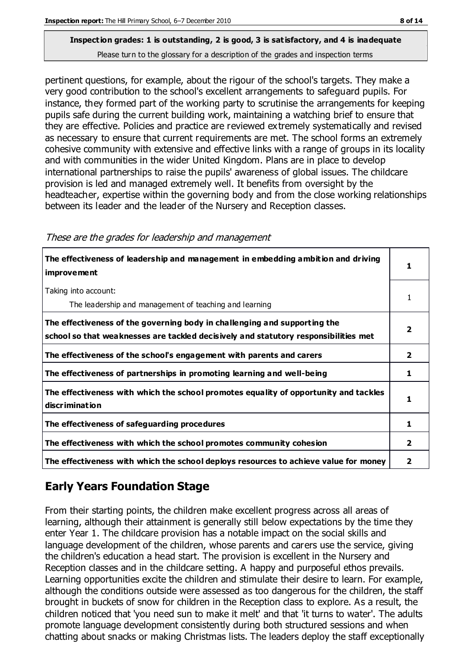pertinent questions, for example, about the rigour of the school's targets. They make a very good contribution to the school's excellent arrangements to safeguard pupils. For instance, they formed part of the working party to scrutinise the arrangements for keeping pupils safe during the current building work, maintaining a watching brief to ensure that they are effective. Policies and practice are reviewed extremely systematically and revised as necessary to ensure that current requirements are met. The school forms an extremely cohesive community with extensive and effective links with a range of groups in its locality and with communities in the wider United Kingdom. Plans are in place to develop international partnerships to raise the pupils' awareness of global issues. The childcare provision is led and managed extremely well. It benefits from oversight by the headteacher, expertise within the governing body and from the close working relationships between its leader and the leader of the Nursery and Reception classes.

| The effectiveness of leadership and management in embedding ambition and driving<br>improvement                                                                  |   |
|------------------------------------------------------------------------------------------------------------------------------------------------------------------|---|
| Taking into account:<br>The leadership and management of teaching and learning                                                                                   |   |
| The effectiveness of the governing body in challenging and supporting the<br>school so that weaknesses are tackled decisively and statutory responsibilities met |   |
| The effectiveness of the school's engagement with parents and carers                                                                                             | 2 |
| The effectiveness of partnerships in promoting learning and well-being                                                                                           | 1 |
| The effectiveness with which the school promotes equality of opportunity and tackles<br>discrimination                                                           |   |
| The effectiveness of safeguarding procedures                                                                                                                     |   |
| The effectiveness with which the school promotes community cohesion                                                                                              | 2 |
| The effectiveness with which the school deploys resources to achieve value for money                                                                             | 2 |

These are the grades for leadership and management

# **Early Years Foundation Stage**

From their starting points, the children make excellent progress across all areas of learning, although their attainment is generally still below expectations by the time they enter Year 1. The childcare provision has a notable impact on the social skills and language development of the children, whose parents and carers use the service, giving the children's education a head start. The provision is excellent in the Nursery and Reception classes and in the childcare setting. A happy and purposeful ethos prevails. Learning opportunities excite the children and stimulate their desire to learn. For example, although the conditions outside were assessed as too dangerous for the children, the staff brought in buckets of snow for children in the Reception class to explore. As a result, the children noticed that 'you need sun to make it melt' and that 'it turns to water'. The adults promote language development consistently during both structured sessions and when chatting about snacks or making Christmas lists. The leaders deploy the staff exceptionally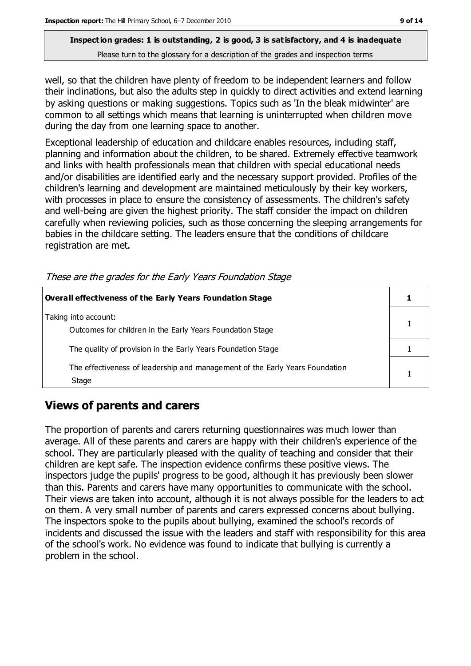well, so that the children have plenty of freedom to be independent learners and follow their inclinations, but also the adults step in quickly to direct activities and extend learning by asking questions or making suggestions. Topics such as 'In the bleak midwinter' are common to all settings which means that learning is uninterrupted when children move during the day from one learning space to another.

Exceptional leadership of education and childcare enables resources, including staff, planning and information about the children, to be shared. Extremely effective teamwork and links with health professionals mean that children with special educational needs and/or disabilities are identified early and the necessary support provided. Profiles of the children's learning and development are maintained meticulously by their key workers, with processes in place to ensure the consistency of assessments. The children's safety and well-being are given the highest priority. The staff consider the impact on children carefully when reviewing policies, such as those concerning the sleeping arrangements for babies in the childcare setting. The leaders ensure that the conditions of childcare registration are met.

| Overall effectiveness of the Early Years Foundation Stage                             |  |
|---------------------------------------------------------------------------------------|--|
| Taking into account:<br>Outcomes for children in the Early Years Foundation Stage     |  |
| The quality of provision in the Early Years Foundation Stage                          |  |
| The effectiveness of leadership and management of the Early Years Foundation<br>Stage |  |

These are the grades for the Early Years Foundation Stage

# **Views of parents and carers**

The proportion of parents and carers returning questionnaires was much lower than average. All of these parents and carers are happy with their children's experience of the school. They are particularly pleased with the quality of teaching and consider that their children are kept safe. The inspection evidence confirms these positive views. The inspectors judge the pupils' progress to be good, although it has previously been slower than this. Parents and carers have many opportunities to communicate with the school. Their views are taken into account, although it is not always possible for the leaders to act on them. A very small number of parents and carers expressed concerns about bullying. The inspectors spoke to the pupils about bullying, examined the school's records of incidents and discussed the issue with the leaders and staff with responsibility for this area of the school's work. No evidence was found to indicate that bullying is currently a problem in the school.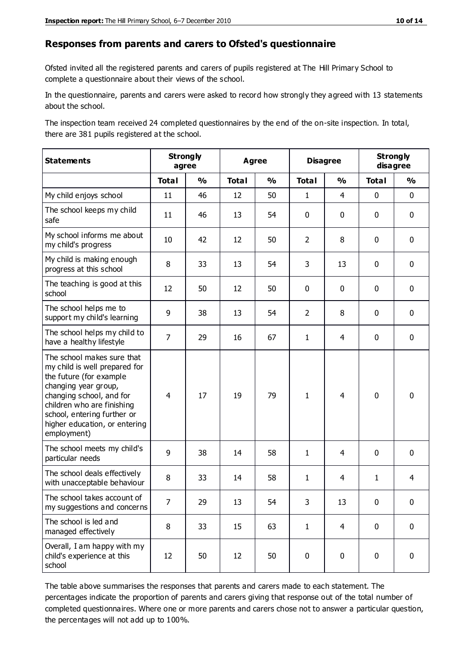#### **Responses from parents and carers to Ofsted's questionnaire**

Ofsted invited all the registered parents and carers of pupils registered at The Hill Primary School to complete a questionnaire about their views of the school.

In the questionnaire, parents and carers were asked to record how strongly they agreed with 13 statements about the school.

The inspection team received 24 completed questionnaires by the end of the on-site inspection. In total, there are 381 pupils registered at the school.

| <b>Statements</b>                                                                                                                                                                                                                                       | <b>Strongly</b><br>agree |               | <b>Agree</b> |               | <b>Disagree</b> |                | <b>Strongly</b><br>disagree |                |
|---------------------------------------------------------------------------------------------------------------------------------------------------------------------------------------------------------------------------------------------------------|--------------------------|---------------|--------------|---------------|-----------------|----------------|-----------------------------|----------------|
|                                                                                                                                                                                                                                                         | <b>Total</b>             | $\frac{1}{2}$ | <b>Total</b> | $\frac{1}{2}$ | <b>Total</b>    | $\frac{0}{0}$  | <b>Total</b>                | $\frac{0}{0}$  |
| My child enjoys school                                                                                                                                                                                                                                  | 11                       | 46            | 12           | 50            | $\mathbf{1}$    | $\overline{4}$ | $\mathbf 0$                 | $\mathbf 0$    |
| The school keeps my child<br>safe                                                                                                                                                                                                                       | 11                       | 46            | 13           | 54            | 0               | $\mathbf 0$    | $\mathbf 0$                 | $\mathbf 0$    |
| My school informs me about<br>my child's progress                                                                                                                                                                                                       | 10                       | 42            | 12           | 50            | $\overline{2}$  | 8              | $\mathbf 0$                 | $\mathbf 0$    |
| My child is making enough<br>progress at this school                                                                                                                                                                                                    | 8                        | 33            | 13           | 54            | 3               | 13             | $\mathbf 0$                 | $\mathbf 0$    |
| The teaching is good at this<br>school                                                                                                                                                                                                                  | 12                       | 50            | 12           | 50            | 0               | $\mathbf 0$    | $\mathbf 0$                 | $\mathbf 0$    |
| The school helps me to<br>support my child's learning                                                                                                                                                                                                   | 9                        | 38            | 13           | 54            | $\overline{2}$  | 8              | $\mathbf 0$                 | $\mathbf 0$    |
| The school helps my child to<br>have a healthy lifestyle                                                                                                                                                                                                | $\overline{7}$           | 29            | 16           | 67            | $\mathbf{1}$    | $\overline{4}$ | $\mathbf 0$                 | $\mathbf 0$    |
| The school makes sure that<br>my child is well prepared for<br>the future (for example<br>changing year group,<br>changing school, and for<br>children who are finishing<br>school, entering further or<br>higher education, or entering<br>employment) | $\overline{4}$           | 17            | 19           | 79            | $\mathbf{1}$    | 4              | $\mathbf 0$                 | $\mathbf 0$    |
| The school meets my child's<br>particular needs                                                                                                                                                                                                         | 9                        | 38            | 14           | 58            | $\mathbf{1}$    | 4              | $\mathbf 0$                 | $\mathbf 0$    |
| The school deals effectively<br>with unacceptable behaviour                                                                                                                                                                                             | 8                        | 33            | 14           | 58            | $\mathbf{1}$    | $\overline{4}$ | $\mathbf{1}$                | $\overline{4}$ |
| The school takes account of<br>my suggestions and concerns                                                                                                                                                                                              | 7                        | 29            | 13           | 54            | 3               | 13             | $\mathbf 0$                 | $\mathbf{0}$   |
| The school is led and<br>managed effectively                                                                                                                                                                                                            | 8                        | 33            | 15           | 63            | $\mathbf{1}$    | $\overline{4}$ | $\mathbf 0$                 | $\mathbf 0$    |
| Overall, I am happy with my<br>child's experience at this<br>school                                                                                                                                                                                     | 12                       | 50            | 12           | 50            | $\pmb{0}$       | $\mathbf 0$    | $\mathbf 0$                 | $\pmb{0}$      |

The table above summarises the responses that parents and carers made to each statement. The percentages indicate the proportion of parents and carers giving that response out of the total number of completed questionnaires. Where one or more parents and carers chose not to answer a particular question, the percentages will not add up to 100%.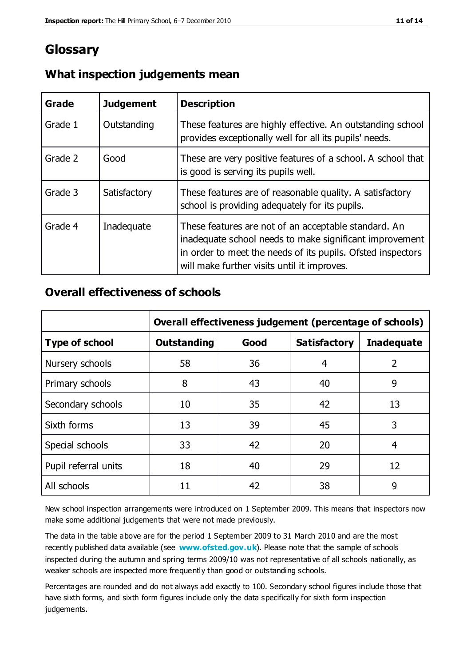# **Glossary**

| Grade   | <b>Judgement</b> | <b>Description</b>                                                                                                                                                                                                            |
|---------|------------------|-------------------------------------------------------------------------------------------------------------------------------------------------------------------------------------------------------------------------------|
| Grade 1 | Outstanding      | These features are highly effective. An outstanding school<br>provides exceptionally well for all its pupils' needs.                                                                                                          |
| Grade 2 | Good             | These are very positive features of a school. A school that<br>is good is serving its pupils well.                                                                                                                            |
| Grade 3 | Satisfactory     | These features are of reasonable quality. A satisfactory<br>school is providing adequately for its pupils.                                                                                                                    |
| Grade 4 | Inadequate       | These features are not of an acceptable standard. An<br>inadequate school needs to make significant improvement<br>in order to meet the needs of its pupils. Ofsted inspectors<br>will make further visits until it improves. |

### **What inspection judgements mean**

### **Overall effectiveness of schools**

|                       | Overall effectiveness judgement (percentage of schools) |      |                     |                   |
|-----------------------|---------------------------------------------------------|------|---------------------|-------------------|
| <b>Type of school</b> | <b>Outstanding</b>                                      | Good | <b>Satisfactory</b> | <b>Inadequate</b> |
| Nursery schools       | 58                                                      | 36   | 4                   | 2                 |
| Primary schools       | 8                                                       | 43   | 40                  | 9                 |
| Secondary schools     | 10                                                      | 35   | 42                  | 13                |
| Sixth forms           | 13                                                      | 39   | 45                  | 3                 |
| Special schools       | 33                                                      | 42   | 20                  | 4                 |
| Pupil referral units  | 18                                                      | 40   | 29                  | 12                |
| All schools           | 11                                                      | 42   | 38                  | 9                 |

New school inspection arrangements were introduced on 1 September 2009. This means that inspectors now make some additional judgements that were not made previously.

The data in the table above are for the period 1 September 2009 to 31 March 2010 and are the most recently published data available (see **[www.ofsted.gov.uk](http://www.ofsted.gov.uk/)**). Please note that the sample of schools inspected during the autumn and spring terms 2009/10 was not representative of all schools nationally, as weaker schools are inspected more frequently than good or outstanding schools.

Percentages are rounded and do not always add exactly to 100. Secondary school figures include those that have sixth forms, and sixth form figures include only the data specifically for sixth form inspection judgements.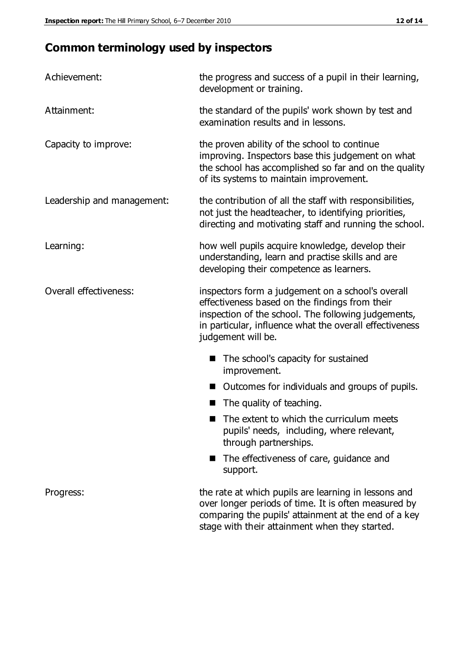# **Common terminology used by inspectors**

| Achievement:                  | the progress and success of a pupil in their learning,<br>development or training.                                                                                                                                                          |  |  |
|-------------------------------|---------------------------------------------------------------------------------------------------------------------------------------------------------------------------------------------------------------------------------------------|--|--|
| Attainment:                   | the standard of the pupils' work shown by test and<br>examination results and in lessons.                                                                                                                                                   |  |  |
| Capacity to improve:          | the proven ability of the school to continue<br>improving. Inspectors base this judgement on what<br>the school has accomplished so far and on the quality<br>of its systems to maintain improvement.                                       |  |  |
| Leadership and management:    | the contribution of all the staff with responsibilities,<br>not just the headteacher, to identifying priorities,<br>directing and motivating staff and running the school.                                                                  |  |  |
| Learning:                     | how well pupils acquire knowledge, develop their<br>understanding, learn and practise skills and are<br>developing their competence as learners.                                                                                            |  |  |
| <b>Overall effectiveness:</b> | inspectors form a judgement on a school's overall<br>effectiveness based on the findings from their<br>inspection of the school. The following judgements,<br>in particular, influence what the overall effectiveness<br>judgement will be. |  |  |
|                               | The school's capacity for sustained<br>improvement.                                                                                                                                                                                         |  |  |
|                               | Outcomes for individuals and groups of pupils.                                                                                                                                                                                              |  |  |
|                               | The quality of teaching.                                                                                                                                                                                                                    |  |  |
|                               | The extent to which the curriculum meets<br>pupils' needs, including, where relevant,<br>through partnerships.                                                                                                                              |  |  |
|                               | The effectiveness of care, guidance and<br>support.                                                                                                                                                                                         |  |  |
| Progress:                     | the rate at which pupils are learning in lessons and<br>over longer periods of time. It is often measured by<br>comparing the pupils' attainment at the end of a key                                                                        |  |  |

stage with their attainment when they started.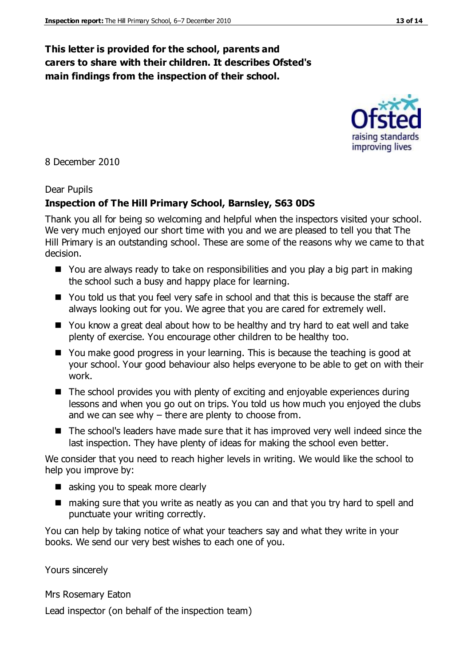### **This letter is provided for the school, parents and carers to share with their children. It describes Ofsted's main findings from the inspection of their school.**

8 December 2010

#### Dear Pupils

#### **Inspection of The Hill Primary School, Barnsley, S63 0DS**

Thank you all for being so welcoming and helpful when the inspectors visited your school. We very much enjoyed our short time with you and we are pleased to tell you that The Hill Primary is an outstanding school. These are some of the reasons why we came to that decision.

- You are always ready to take on responsibilities and you play a big part in making the school such a busy and happy place for learning.
- You told us that you feel very safe in school and that this is because the staff are always looking out for you. We agree that you are cared for extremely well.
- You know a great deal about how to be healthy and try hard to eat well and take plenty of exercise. You encourage other children to be healthy too.
- You make good progress in your learning. This is because the teaching is good at your school. Your good behaviour also helps everyone to be able to get on with their work.
- The school provides you with plenty of exciting and enjoyable experiences during lessons and when you go out on trips. You told us how much you enjoyed the clubs and we can see why – there are plenty to choose from.
- The school's leaders have made sure that it has improved very well indeed since the last inspection. They have plenty of ideas for making the school even better.

We consider that you need to reach higher levels in writing. We would like the school to help you improve by:

- asking you to speak more clearly
- making sure that you write as neatly as you can and that you try hard to spell and punctuate your writing correctly.

You can help by taking notice of what your teachers say and what they write in your books. We send our very best wishes to each one of you.

Yours sincerely

Mrs Rosemary Eaton

Lead inspector (on behalf of the inspection team)